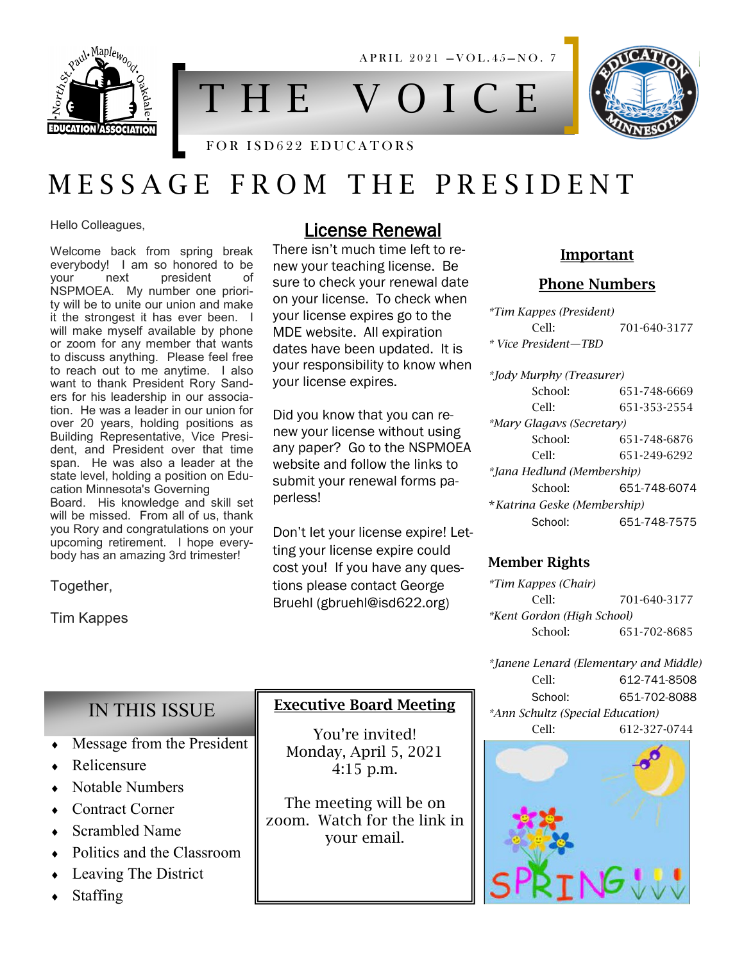

T H E V O I C E

A P R I L 2021 - VOL. 45-NO. 7



# M E S S A G E F R O M T H E P R E S I D E N T

Hello Colleagues,

Welcome back from spring break everybody! I am so honored to be your next president of NSPMOEA. My number one priority will be to unite our union and make it the strongest it has ever been. I will make myself available by phone or zoom for any member that wants to discuss anything. Please feel free to reach out to me anytime. I also want to thank President Rory Sanders for his leadership in our association. He was a leader in our union for over 20 years, holding positions as Building Representative, Vice President, and President over that time span. He was also a leader at the state level, holding a position on Education Minnesota's Governing Board. His knowledge and skill set will be missed. From all of us, thank you Rory and congratulations on your upcoming retirement. I hope every-

body has an amazing 3rd trimester!

Together,

Tim Kappes

## License Renewal

There isn't much time left to renew your teaching license. Be sure to check your renewal date on your license. To check when your license expires go to the MDE website. All expiration dates have been updated. It is your responsibility to know when your license expires.

Did you know that you can renew your license without using any paper? Go to the NSPMOEA website and follow the links to submit your renewal forms paperless!

Don't let your license expire! Letting your license expire could cost you! If you have any questions please contact George Bruehl (gbruehl@isd622.org)

Executive Board Meeting

You're invited! Monday, April 5, 2021 4:15 p.m.

The meeting will be on zoom. Watch for the link in your email.

### Important

### Phone Numbers

| *Tim Kappes (President)     |              |
|-----------------------------|--------------|
| Cell:                       | 701-640-3177 |
| * Vice President—TBD        |              |
| *Jody Murphy (Treasurer)    |              |
| School:                     | 651-748-6669 |
| Cell:                       | 651-353-2554 |
| *Mary Glagavs (Secretary)   |              |
| School:                     | 651-748-6876 |
| Cell:                       | 651-249-6292 |
| *Jana Hedlund (Membership)  |              |
| School:                     | 651-748-6074 |
| *Katrina Geske (Membership) |              |
| School:                     | 651-748-7575 |

### Member Rights

*\*Tim Kappes (Chair)* Cell: 701-640-3177 *\*Kent Gordon (High School)* School: 651-702-8685

*\*Janene Lenard (Elementary and Middle)* Cell: 612-741-8508 School: 651-702-8088 *\*Ann Schultz (Special Education)* Cell: 612-327-0744



## IN THIS ISSUE

- Message from the President
- Relicensure
- Notable Numbers
- Contract Corner
- Scrambled Name
- Politics and the Classroom
- Leaving The District
- Staffing